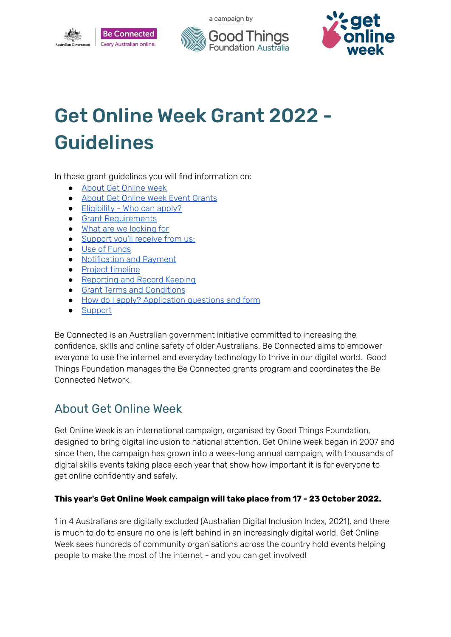





# Get Online Week Grant 2022 - Guidelines

In these grant guidelines you will find information on:

- About Get [Online](#page-0-0) Week
- About Get Online Week Event [Grants](#page-1-0)
- [Eligibility](#page-1-1) Who can apply?
- Grant [Requirements](#page-1-2)
- What are we [looking](#page-2-0) for
- [Support](#page-2-1) you'll receive from us:
- Use of [Funds](#page-2-2)
- [Notification](#page-3-0) and Payment
- Project [timeline](#page-3-1)
- [Reporting](#page-3-2) and Record Keeping
- Grant Terms and [Conditions](#page-4-0)
- How do I [apply?](#page-4-1) Application questions and form
- [Support](#page-7-0)

Be Connected is an Australian government initiative committed to increasing the confidence, skills and online safety of older Australians. Be Connected aims to empower everyone to use the internet and everyday technology to thrive in our digital world. Good Things Foundation manages the Be Connected grants program and coordinates the Be Connected Network.

## <span id="page-0-0"></span>About Get Online Week

Get Online Week is an international campaign, organised by Good Things Foundation, designed to bring digital inclusion to national attention. Get Online Week began in 2007 and since then, the campaign has grown into a week-long annual campaign, with thousands of digital skills events taking place each year that show how important it is for everyone to get online confidently and safely.

#### **This year's Get Online Week campaign will take place from 17 - 23 October 2022.**

1 in 4 Australians are digitally excluded (Australian Digital Inclusion Index, 2021), and there is much to do to ensure no one is left behind in an increasingly digital world. Get Online Week sees hundreds of community organisations across the country hold events helping people to make the most of the internet - and you can get involved!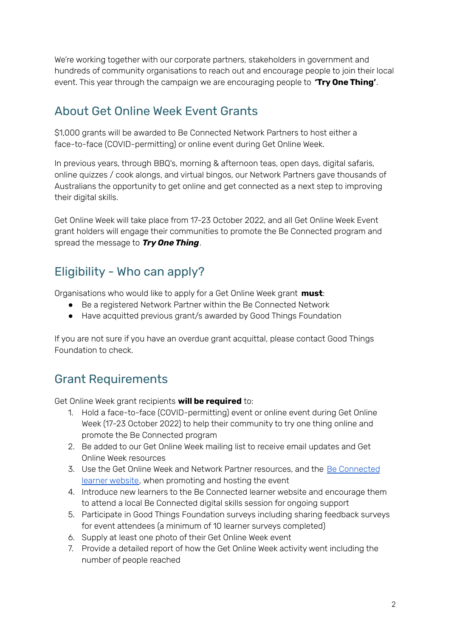We're working together with our corporate partners, stakeholders in government and hundreds of community organisations to reach out and encourage people to join their local event. This year through the campaign we are encouraging people to **'Try One Thing'**.

## <span id="page-1-0"></span>About Get Online Week Event Grants

\$1,000 grants will be awarded to Be Connected Network Partners to host either a face-to-face (COVID-permitting) or online event during Get Online Week.

In previous years, through BBQ's, morning & afternoon teas, open days, digital safaris, online quizzes / cook alongs, and virtual bingos, our Network Partners gave thousands of Australians the opportunity to get online and get connected as a next step to improving their digital skills.

Get Online Week will take place from 17-23 October 2022, and all Get Online Week Event grant holders will engage their communities to promote the Be Connected program and spread the message to *Try One Thing*.

## <span id="page-1-1"></span>Eligibility - Who can apply?

Organisations who would like to apply for a Get Online Week grant **must**:

- Be a registered Network Partner within the Be Connected Network
- Have acquitted previous grant/s awarded by Good Things Foundation

If you are not sure if you have an overdue grant acquittal, please contact Good Things Foundation to check.

## <span id="page-1-2"></span>Grant Requirements

Get Online Week grant recipients **will be required** to:

- 1. Hold a face-to-face (COVID-permitting) event or online event during Get Online Week (17-23 October 2022) to help their community to try one thing online and promote the Be Connected program
- 2. Be added to our Get Online Week mailing list to receive email updates and Get Online Week resources
- 3. Use the Get Online Week and Network Partner resources, and the Be [Connected](https://beconnected.esafety.gov.au/) learner [website](https://beconnected.esafety.gov.au/), when promoting and hosting the event
- 4. Introduce new learners to the Be Connected learner website and encourage them to attend a local Be Connected digital skills session for ongoing support
- 5. Participate in Good Things Foundation surveys including sharing feedback surveys for event attendees (a minimum of 10 learner surveys completed)
- 6. Supply at least one photo of their Get Online Week event
- 7. Provide a detailed report of how the Get Online Week activity went including the number of people reached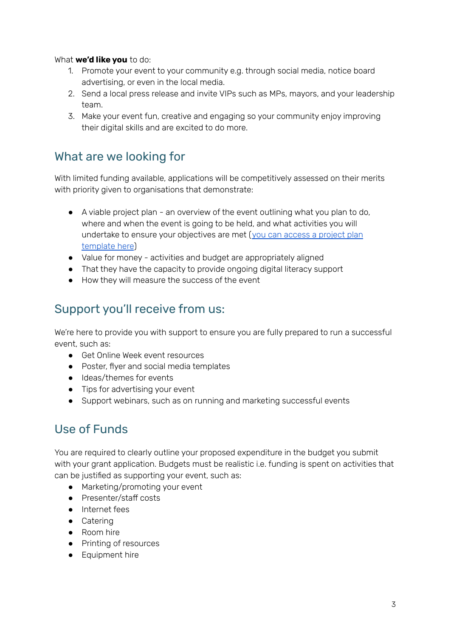#### What **we'd like you** to do:

- 1. Promote your event to your community e.g. through social media, notice board advertising, or even in the local media.
- 2. Send a local press release and invite VIPs such as MPs, mayors, and your leadership team.
- 3. Make your event fun, creative and engaging so your community enjoy improving their digital skills and are excited to do more.

### <span id="page-2-0"></span>What are we looking for

With limited funding available, applications will be competitively assessed on their merits with priority given to organisations that demonstrate:

- A viable project plan an overview of the event outlining what you plan to do, where and when the event is going to be held, and what activities you will undertake to ensure your objectives are met (you can access a [project](https://www.beconnectednetwork.org.au/sites/default/files/golw_2022_-_project_plan_template.docx) plan [template](https://www.beconnectednetwork.org.au/sites/default/files/golw_2022_-_project_plan_template.docx) here)
- Value for money activities and budget are appropriately aligned
- That they have the capacity to provide ongoing digital literacy support
- How they will measure the success of the event

## <span id="page-2-1"></span>Support you'll receive from us:

We're here to provide you with support to ensure you are fully prepared to run a successful event, such as:

- Get Online Week event resources
- Poster, flyer and social media templates
- Ideas/themes for events
- Tips for advertising your event
- Support webinars, such as on running and marketing successful events

## <span id="page-2-2"></span>Use of Funds

You are required to clearly outline your proposed expenditure in the budget you submit with your grant application. Budgets must be realistic i.e. funding is spent on activities that can be justified as supporting your event, such as:

- Marketing/promoting your event
- Presenter/staff costs
- Internet fees
- Catering
- Room hire
- Printing of resources
- Equipment hire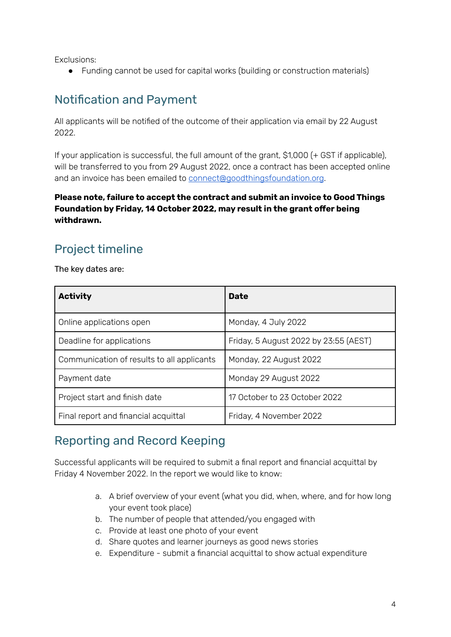Exclusions:

● Funding cannot be used for capital works (building or construction materials)

## <span id="page-3-0"></span>Notification and Payment

All applicants will be notified of the outcome of their application via email by 22 August 2022.

If your application is successful, the full amount of the grant, \$1,000 (+ GST if applicable), will be transferred to you from 29 August 2022, once a contract has been accepted online and an invoice has been emailed to [connect@goodthingsfoundation.org](mailto:connect@goodthingsfoundation.org).

#### **Please note, failure to accept the contract and submit an invoice to Good Things Foundation by Friday, 14 October 2022, may result in the grant offer being withdrawn.**

## <span id="page-3-1"></span>Project timeline

The key dates are:

| <b>Activity</b>                            | <b>Date</b>                           |
|--------------------------------------------|---------------------------------------|
| Online applications open                   | Monday, 4 July 2022                   |
| Deadline for applications                  | Friday, 5 August 2022 by 23:55 (AEST) |
| Communication of results to all applicants | Monday, 22 August 2022                |
| Payment date                               | Monday 29 August 2022                 |
| Project start and finish date              | 17 October to 23 October 2022         |
| Final report and financial acquittal       | Friday, 4 November 2022               |

## <span id="page-3-2"></span>Reporting and Record Keeping

Successful applicants will be required to submit a final report and financial acquittal by Friday 4 November 2022. In the report we would like to know:

- a. A brief overview of your event (what you did, when, where, and for how long your event took place)
- b. The number of people that attended/you engaged with
- c. Provide at least one photo of your event
- d. Share quotes and learner journeys as good news stories
- e. Expenditure submit a financial acquittal to show actual expenditure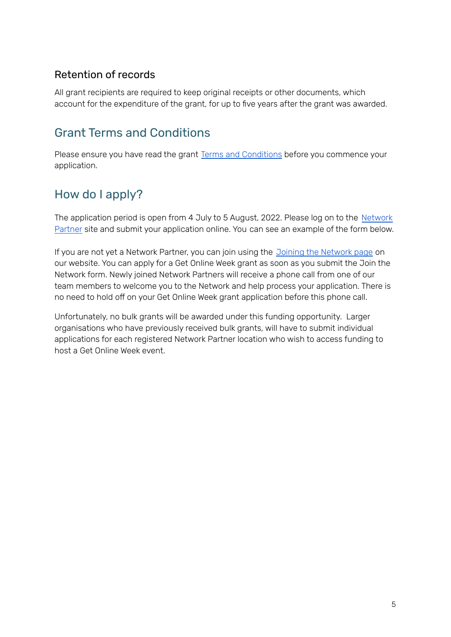#### Retention of records

All grant recipients are required to keep original receipts or other documents, which account for the expenditure of the grant, for up to five years after the grant was awarded.

## <span id="page-4-0"></span>Grant Terms and Conditions

Please ensure you have read the grant Terms and [Conditions](https://www.beconnectednetwork.org.au/sites/default/files/2022-06-16_online_week_grant_2022_-_terms_conditions.pdf) before you commence your application.

## <span id="page-4-1"></span>How do I apply?

The application period is open from 4 July to 5 August, 2022. Please log on to the [Network](https://www.beconnectednetwork.org.au/grant-program) [Partner](https://www.beconnectednetwork.org.au/grant-program) site and submit your application online. You can see an example of the form below.

If you are not yet a Network Partner, you can join using the Joining the [Network](https://www.beconnectednetwork.org.au/join-the-network-step-1) page on our website. You can apply for a Get Online Week grant as soon as you submit the Join the Network form. Newly joined Network Partners will receive a phone call from one of our team members to welcome you to the Network and help process your application. There is no need to hold off on your Get Online Week grant application before this phone call.

Unfortunately, no bulk grants will be awarded under this funding opportunity. Larger organisations who have previously received bulk grants, will have to submit individual applications for each registered Network Partner location who wish to access funding to host a Get Online Week event.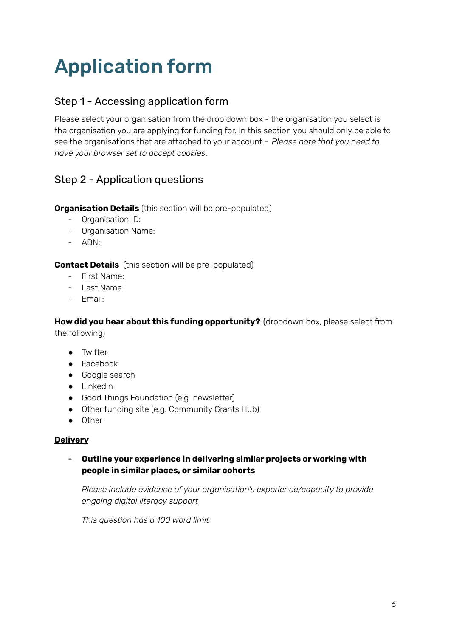# Application form

#### Step 1 - Accessing application form

Please select your organisation from the drop down box - the organisation you select is the organisation you are applying for funding for. In this section you should only be able to see the organisations that are attached to your account - *Please note that you need to have your browser set to accept cookies*.

### Step 2 - Application questions

#### **Organisation Details** (this section will be pre-populated)

- Organisation ID:
- Organisation Name:
- ABN:

#### **Contact Details** (this section will be pre-populated)

- First Name:
- Last Name:
- Email:

**How did you hear about this funding opportunity?** (dropdown box, please select from the following)

- Twitter
- Facebook
- Google search
- Linkedin
- Good Things Foundation (e.g. newsletter)
- Other funding site (e.g. Community Grants Hub)
- Other

#### **Delivery**

#### **- Outline your experience in delivering similar projects or working with people in similar places, or similar cohorts**

*Please include evidence of your organisation's experience/capacity to provide ongoing digital literacy support*

*This question has a 100 word limit*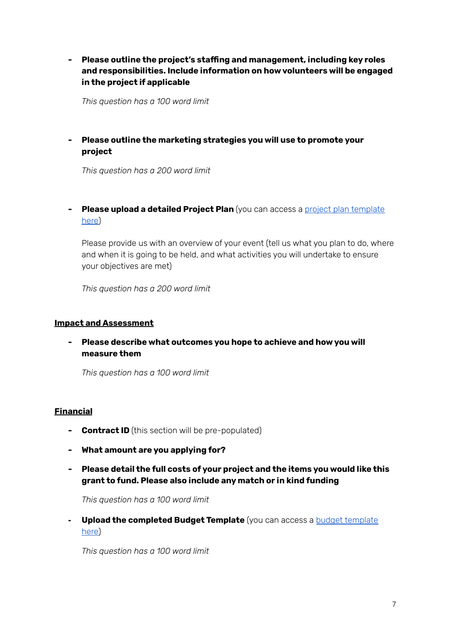#### **- Please outline the project's staffing and management, including key roles and responsibilities. Include information on how volunteers will be engaged in the project if applicable**

*This question has a 100 word limit*

#### **- Please outline the marketing strategies you will use to promote your project**

*This question has a 200 word limit*

**- Please upload a detailed Project Plan** (you can access a project plan [template](https://www.beconnectednetwork.org.au/sites/default/files/golw_2022_-_project_plan_template.docx) [here](https://www.beconnectednetwork.org.au/sites/default/files/golw_2022_-_project_plan_template.docx))

Please provide us with an overview of your event (tell us what you plan to do, where and when it is going to be held, and what activities you will undertake to ensure your objectives are met)

*This question has a 200 word limit*

#### **Impact and Assessment**

**- Please describe what outcomes you hope to achieve and how you will measure them**

*This question has a 100 word limit*

#### **Financial**

- **- Contract ID** (this section will be pre-populated)
- **- What amount are you applying for?**
- **- Please detail the full costs of your project and the items you would like this grant to fund. Please also include any match or in kind funding**

*This question has a 100 word limit*

**- Upload the completed Budget Template** (you can access a budget [template](https://www.beconnectednetwork.org.au/sites/default/files/2021-06-24_cb_budget_-_template.docx) [here](https://www.beconnectednetwork.org.au/sites/default/files/2021-06-24_cb_budget_-_template.docx))

*This question has a 100 word limit*